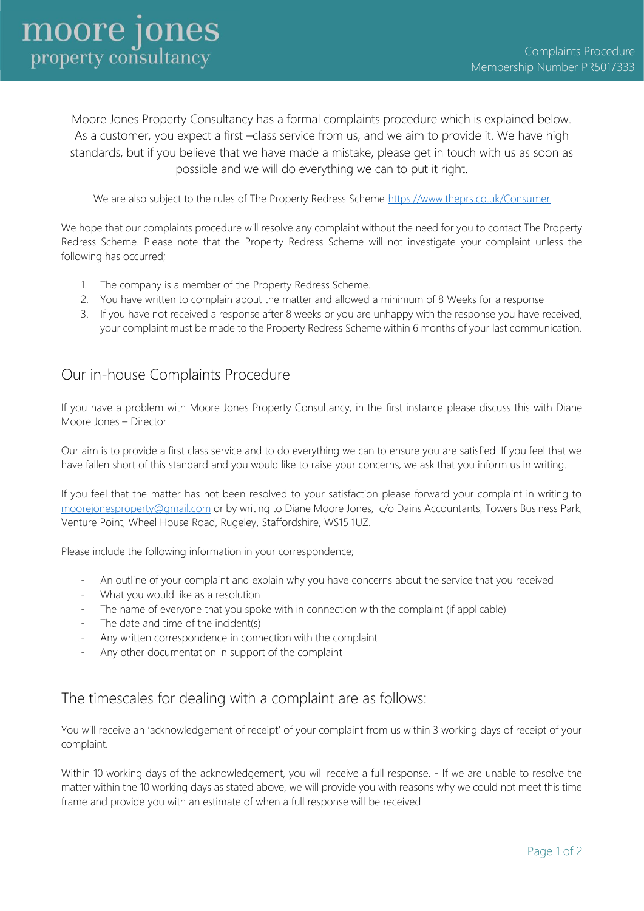Moore Jones Property Consultancy has a formal complaints procedure which is explained below. As a customer, you expect a first –class service from us, and we aim to provide it. We have high standards, but if you believe that we have made a mistake, please get in touch with us as soon as possible and we will do everything we can to put it right.

We are also subject to the rules of The Property Redress Scheme<https://www.theprs.co.uk/Consumer>

We hope that our complaints procedure will resolve any complaint without the need for you to contact The Property Redress Scheme. Please note that the Property Redress Scheme will not investigate your complaint unless the following has occurred;

- 1. The company is a member of the Property Redress Scheme.
- 2. You have written to complain about the matter and allowed a minimum of 8 Weeks for a response
- 3. If you have not received a response after 8 weeks or you are unhappy with the response you have received, your complaint must be made to the Property Redress Scheme within 6 months of your last communication.

## Our in-house Complaints Procedure

If you have a problem with Moore Jones Property Consultancy, in the first instance please discuss this with Diane Moore Jones – Director.

Our aim is to provide a first class service and to do everything we can to ensure you are satisfied. If you feel that we have fallen short of this standard and you would like to raise your concerns, we ask that you inform us in writing.

If you feel that the matter has not been resolved to your satisfaction please forward your complaint in writing to [moorejonesproperty@gmail.com](mailto:moorejonesproperty@gmail.com) or by writing to Diane Moore Jones, c/o Dains Accountants, Towers Business Park, Venture Point, Wheel House Road, Rugeley, Staffordshire, WS15 1UZ.

Please include the following information in your correspondence;

- An outline of your complaint and explain why you have concerns about the service that you received
- What you would like as a resolution
- The name of everyone that you spoke with in connection with the complaint (if applicable)
- The date and time of the incident(s)
- Any written correspondence in connection with the complaint
- Any other documentation in support of the complaint

## The timescales for dealing with a complaint are as follows:

You will receive an 'acknowledgement of receipt' of your complaint from us within 3 working days of receipt of your complaint.

Within 10 working days of the acknowledgement, you will receive a full response. - If we are unable to resolve the matter within the 10 working days as stated above, we will provide you with reasons why we could not meet this time frame and provide you with an estimate of when a full response will be received.